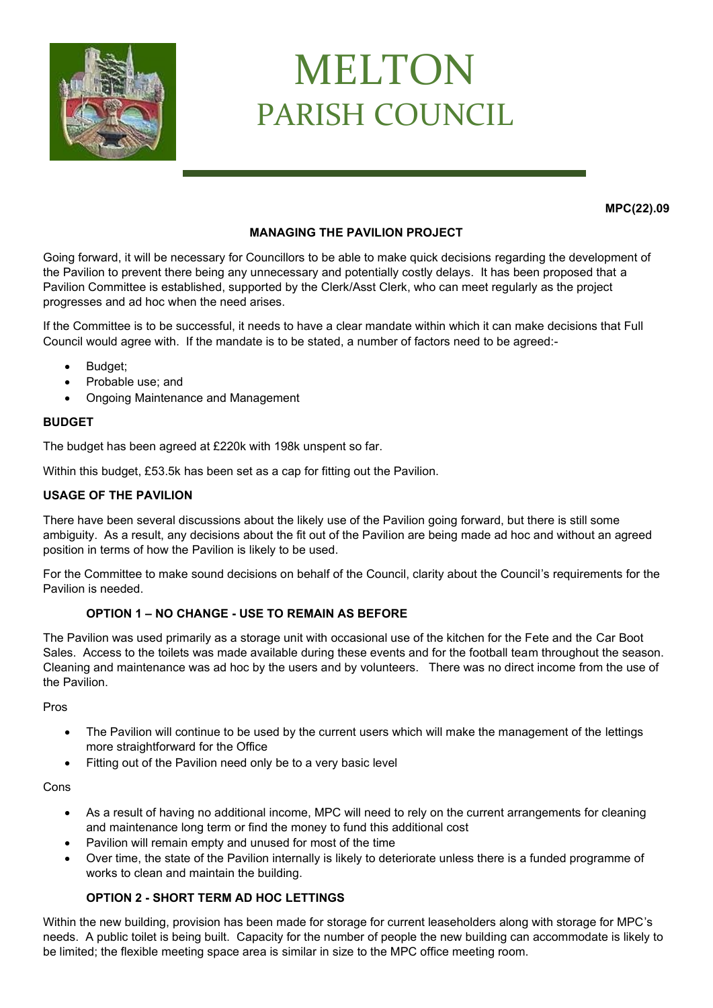

# MELTON PARISH COUNCIL

**MPC(22).09**

# **MANAGING THE PAVILION PROJECT**

Going forward, it will be necessary for Councillors to be able to make quick decisions regarding the development of the Pavilion to prevent there being any unnecessary and potentially costly delays. It has been proposed that a Pavilion Committee is established, supported by the Clerk/Asst Clerk, who can meet regularly as the project progresses and ad hoc when the need arises.

If the Committee is to be successful, it needs to have a clear mandate within which it can make decisions that Full Council would agree with. If the mandate is to be stated, a number of factors need to be agreed:-

- Budget:
- Probable use; and
- Ongoing Maintenance and Management

## **BUDGET**

The budget has been agreed at £220k with 198k unspent so far.

Within this budget, £53.5k has been set as a cap for fitting out the Pavilion.

## **USAGE OF THE PAVILION**

There have been several discussions about the likely use of the Pavilion going forward, but there is still some ambiguity. As a result, any decisions about the fit out of the Pavilion are being made ad hoc and without an agreed position in terms of how the Pavilion is likely to be used.

For the Committee to make sound decisions on behalf of the Council, clarity about the Council's requirements for the Pavilion is needed.

## **OPTION 1 – NO CHANGE - USE TO REMAIN AS BEFORE**

The Pavilion was used primarily as a storage unit with occasional use of the kitchen for the Fete and the Car Boot Sales. Access to the toilets was made available during these events and for the football team throughout the season. Cleaning and maintenance was ad hoc by the users and by volunteers. There was no direct income from the use of the Pavilion.

Pros

- The Pavilion will continue to be used by the current users which will make the management of the lettings more straightforward for the Office
- Fitting out of the Pavilion need only be to a very basic level

#### Cons

- As a result of having no additional income, MPC will need to rely on the current arrangements for cleaning and maintenance long term or find the money to fund this additional cost
- Pavilion will remain empty and unused for most of the time
- Over time, the state of the Pavilion internally is likely to deteriorate unless there is a funded programme of works to clean and maintain the building.

# **OPTION 2 - SHORT TERM AD HOC LETTINGS**

Within the new building, provision has been made for storage for current leaseholders along with storage for MPC's needs. A public toilet is being built. Capacity for the number of people the new building can accommodate is likely to be limited; the flexible meeting space area is similar in size to the MPC office meeting room.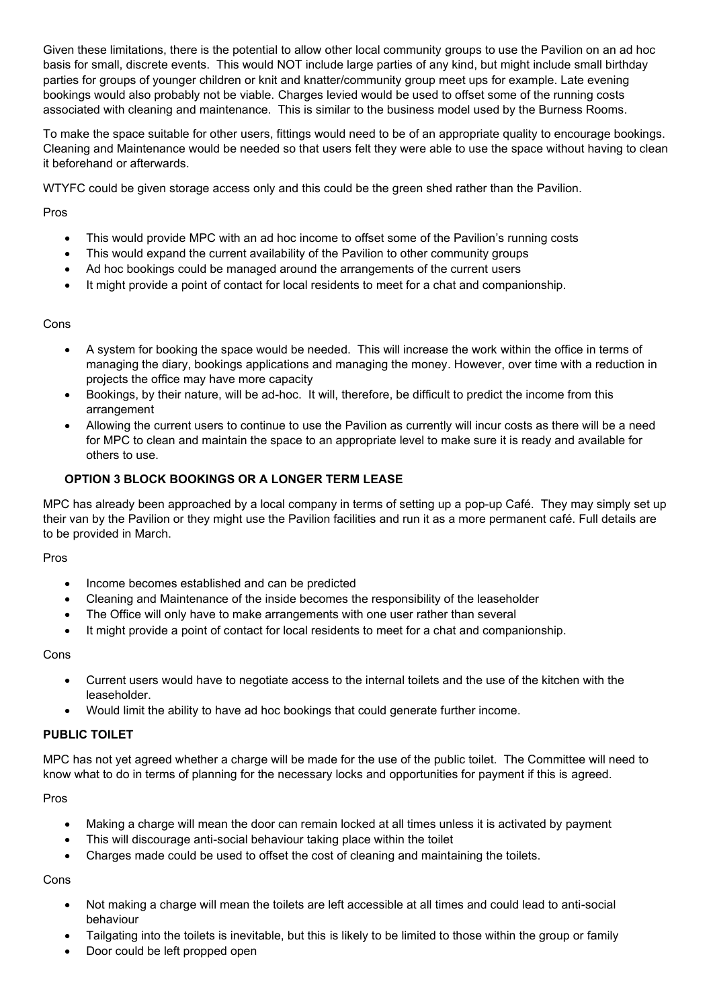Given these limitations, there is the potential to allow other local community groups to use the Pavilion on an ad hoc basis for small, discrete events. This would NOT include large parties of any kind, but might include small birthday parties for groups of younger children or knit and knatter/community group meet ups for example. Late evening bookings would also probably not be viable. Charges levied would be used to offset some of the running costs associated with cleaning and maintenance. This is similar to the business model used by the Burness Rooms.

To make the space suitable for other users, fittings would need to be of an appropriate quality to encourage bookings. Cleaning and Maintenance would be needed so that users felt they were able to use the space without having to clean it beforehand or afterwards.

WTYFC could be given storage access only and this could be the green shed rather than the Pavilion.

Pros

- This would provide MPC with an ad hoc income to offset some of the Pavilion's running costs
- This would expand the current availability of the Pavilion to other community groups
- Ad hoc bookings could be managed around the arrangements of the current users
- It might provide a point of contact for local residents to meet for a chat and companionship.

# Cons

- A system for booking the space would be needed. This will increase the work within the office in terms of managing the diary, bookings applications and managing the money. However, over time with a reduction in projects the office may have more capacity
- Bookings, by their nature, will be ad-hoc. It will, therefore, be difficult to predict the income from this arrangement
- Allowing the current users to continue to use the Pavilion as currently will incur costs as there will be a need for MPC to clean and maintain the space to an appropriate level to make sure it is ready and available for others to use.

# **OPTION 3 BLOCK BOOKINGS OR A LONGER TERM LEASE**

MPC has already been approached by a local company in terms of setting up a pop-up Café. They may simply set up their van by the Pavilion or they might use the Pavilion facilities and run it as a more permanent café. Full details are to be provided in March.

## Pros

- Income becomes established and can be predicted
- Cleaning and Maintenance of the inside becomes the responsibility of the leaseholder
- The Office will only have to make arrangements with one user rather than several
- It might provide a point of contact for local residents to meet for a chat and companionship.

Cons

- Current users would have to negotiate access to the internal toilets and the use of the kitchen with the leaseholder.
- Would limit the ability to have ad hoc bookings that could generate further income.

## **PUBLIC TOILET**

MPC has not yet agreed whether a charge will be made for the use of the public toilet. The Committee will need to know what to do in terms of planning for the necessary locks and opportunities for payment if this is agreed.

Pros

- Making a charge will mean the door can remain locked at all times unless it is activated by payment
- This will discourage anti-social behaviour taking place within the toilet
- Charges made could be used to offset the cost of cleaning and maintaining the toilets.

Cons

- Not making a charge will mean the toilets are left accessible at all times and could lead to anti-social behaviour
- Tailgating into the toilets is inevitable, but this is likely to be limited to those within the group or family
- Door could be left propped open